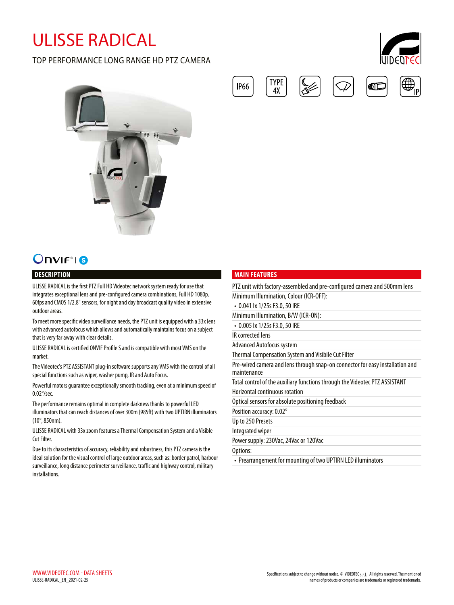# ULISSE RADICAL

### TOP PERFORMANCE LONG RANGE HD PTZ CAMERA





# **Onvir**<sup>®</sup> 6

#### **DESCRIPTION**

ULISSE RADICAL is the first PTZ Full HD Videotec network system ready for use that integrates exceptional lens and pre-configured camera combinations, Full HD 1080p, 60fps and CMOS 1/2.8" sensors, for night and day broadcast quality video in extensive outdoor areas.

To meet more specific video surveillance needs, the PTZ unit is equipped with a 33x lens with advanced autofocus which allows and automatically maintains focus on a subject that is very far away with clear details.

ULISSE RADICAL is certified ONVIF Profile S and is compatible with most VMS on the market.

The Videotec's PTZ ASSISTANT plug-in software supports any VMS with the control of all special functions such as wiper, washer pump, IR and Auto Focus.

Powerful motors guarantee exceptionally smooth tracking, even at a minimum speed of 0.02°/sec.

The performance remains optimal in complete darkness thanks to powerful LED illuminators that can reach distances of over 300m (985ft) with two UPTIRN illuminators (10°, 850nm).

ULISSE RADICAL with 33x zoom features a Thermal Compensation System and a Visible Cut Filter.

Due to its characteristics of accuracy, reliability and robustness, this PTZ camera is the ideal solution for the visual control of large outdoor areas, such as: border patrol, harbour surveillance, long distance perimeter surveillance, traffic and highway control, military installations.

#### **MAIN FEATURES**

**TYPE** 

 $4X$ 

**IP66** 

| PTZ unit with factory-assembled and pre-configured camera and 500mm lens                     |
|----------------------------------------------------------------------------------------------|
| Minimum Illumination, Colour (ICR-OFF):                                                      |
| • 0.041 lx 1/25s F3.0, 50 IRE                                                                |
| Minimum Illumination, B/W (ICR-ON):                                                          |
| • 0.005 lx 1/25s F3.0, 50 IRE                                                                |
| IR corrected lens                                                                            |
| Advanced Autofocus system                                                                    |
| Thermal Compensation System and Visibile Cut Filter                                          |
| Pre-wired camera and lens through snap-on connector for easy installation and<br>maintenance |
| Total control of the auxiliary functions through the Videotec PTZ ASSISTANT                  |
| <b>Horizontal continuous rotation</b>                                                        |
| Optical sensors for absolute positioning feedback                                            |
| Position accuracy: 0.02°                                                                     |
| Up to 250 Presets                                                                            |
| Integrated wiper                                                                             |
| Power supply: 230Vac, 24Vac or 120Vac                                                        |
| Options:                                                                                     |
| • Prearrangement for mounting of two UPTIRN LED illuminators                                 |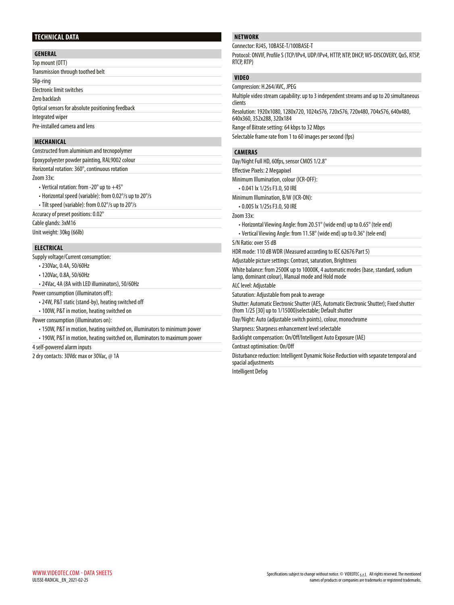#### **TECHNICAL DATA**

#### **GENERAL**

| Top mount (OTT)                                   |  |
|---------------------------------------------------|--|
| Transmission through toothed belt                 |  |
| Slip-ring                                         |  |
| Electronic limit switches                         |  |
| Zero backlash                                     |  |
| Optical sensors for absolute positioning feedback |  |
| Integrated wiper                                  |  |
| Pre-installed camera and lens                     |  |

#### **MECHANICAL**

| Constructed from aluminium and tecnopolymer                  |
|--------------------------------------------------------------|
| Epoxypolyester powder painting, RAL9002 colour               |
| Horizontal rotation: 360°, continuous rotation               |
| Zoom 33x:                                                    |
| • Vertical rotation: from -20 $^{\circ}$ up to $+45^{\circ}$ |
| • Horizontal speed (variable): from 0.02°/s up to 20°/s      |
| • Tilt speed (variable): from 0.02°/s up to 20°/s            |
| Accuracy of preset positions: 0.02°                          |
| Cable glands: 3xM16                                          |
| Unit weight: 30kg (66lb)                                     |
|                                                              |
|                                                              |

#### **ELECTRICAL**

Supply voltage/Current consumption:

- 230Vac, 0.4A, 50/60Hz
- 120Vac, 0.8A, 50/60Hz
- 24Vac, 4A (8A with LED illuminators), 50/60Hz

Power consumption (illuminators off):

- 24W, P&T static (stand-by), heating switched off
- 100W, P&T in motion, heating switched on

Power consumption (illuminators on):

- 150W, P&T in motion, heating switched on, illuminators to minimum power
- 190W, P&T in motion, heating switched on, illuminators to maximum power

4 self-powered alarm inputs

2 dry contacts: 30Vdc max or 30Vac, @ 1A

#### **NETWORK**

Connector: RJ45, 10BASE-T/100BASE-T

Protocol: ONVIF, Profile S (TCP/IPv4, UDP/IPv4, HTTP, NTP, DHCP, WS-DISCOVERY, QoS, RTSP, RTCP, RTP)

## **VIDEO**

Compression: H.264/AVC, JPEG Multiple video stream capability: up to 3 independent streams and up to 20 simultaneous clients Resolution: 1920x1080, 1280x720, 1024x576, 720x576, 720x480, 704x576, 640x480, 640x360, 352x288, 320x184 Range of Bitrate setting: 64 kbps to 32 Mbps Selectable frame rate from 1 to 60 images per second (fps) **CAMERAS** Day/Night Full HD, 60fps, sensor CMOS 1/2.8" Effective Pixels: 2 Megapixel Minimum Illumination, colour (ICR-OFF): • 0.041 lx 1/25s F3.0, 50 IRE Minimum Illumination, B/W (ICR-ON): • 0.005 lx 1/25s F3.0, 50 IRE Zoom 33x: • Horizontal Viewing Angle: from 20.51° (wide end) up to 0.65° (tele end) • Vertical Viewing Angle: from 11.58° (wide end) up to 0.36° (tele end) S/N Ratio: over 55 dB HDR mode: 110 dB WDR (Measured according to IEC 62676 Part 5) Adjustable picture settings: Contrast, saturation, Brightness White balance: from 2500K up to 10000K, 4 automatic modes (base, standard, sodium lamp, dominant colour), Manual mode and Hold mode ALC level: Adjustable Saturation: Adjustable from peak to average Shutter: Automatic Electronic Shutter (AES, Automatic Electronic Shutter); Fixed shutter

(from 1/25 [30] up to 1/15000)selectable; Default shutter

Day/Night: Auto (adjustable switch points), colour, monochrome

#### Sharpness: Sharpness enhancement level selectable

Backlight compensation: On/Off/Intelligent Auto Exposure (IAE)

Contrast optimisation: On/Off

Disturbance reduction: Intelligent Dynamic Noise Reduction with separate temporal and spacial adjustments

Intelligent Defog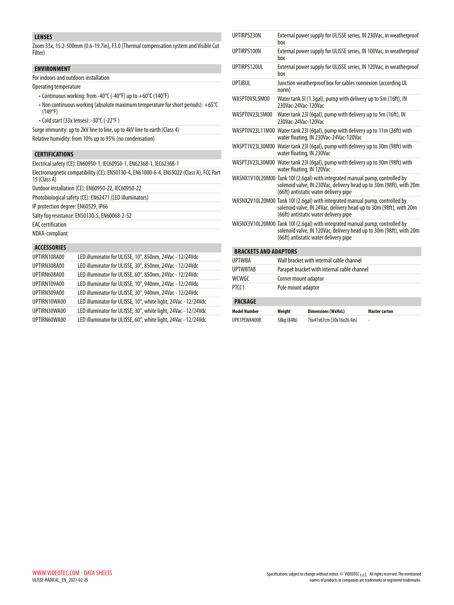#### **LENSES**

Zoom 33x, 15.2-500mm (0.6-19.7in), F3.0 (Thermal compensation system and Visible Cut Filter)

#### **ENVIRONMENT**

For indoors and outdoors installation

Operating temperature

- Continuous working: from -40°C (-40°F) up to +60°C (140°F)
- Non continuous working (absolute maximum temperature for short periods): +65°C (149°F)
- Cold start (33x lenses): -30°C (-22°F )

Surge immunity: up to 2kV line to line, up to 4kV line to earth (Class 4)

Relative humidity: from 10% up to 95% (no condensation)

#### **CERTIFICATIONS**

Electrical safety (CE): EN60950-1, IEC60950-1, EN62368-1, IEC62368-1 Electromagnetic compatibility (CE): EN50130-4, EN61000-6-4, EN55022 (Class A), FCC Part 15 (Class A) Outdoor installation (CE): EN60950-22, IEC60950-22 Photobiological safety (CE): EN62471 (LED illuminators) IP protection degree: EN60529, IP66 Salty fog resistance: EN50130-5, EN60068-2-52 EAC certification NDAA-compliant **ACCESSORIES** UPTIRN108A00 LED illuminator for ULISSE, 10°, 850nm, 24Vac - 12/24Vdc UPTIRN308A00 LED illuminator for ULISSE, 30°, 850nm, 24Vac - 12/24Vdc UPTIRN608A00 LED illuminator for ULISSE, 60°, 850nm, 24Vac - 12/24Vdc UPTIRN109A00 LED illuminator for ULISSE, 10°, 940nm, 24Vac - 12/24Vdc

| UPTIRN309A00 | LED illuminator for ULISSE, 30°, 940nm, 24Vac - 12/24Vdc       |
|--------------|----------------------------------------------------------------|
| UPTIRN10WA00 | LED illuminator for ULISSE, 10°, white light, 24Vac - 12/24Vdc |
| UPTIRN30WA00 | LED illuminator for ULISSE, 30°, white light, 24Vac - 12/24Vdc |
| UPTIRN60WA00 | LED illuminator for ULISSE, 60°, white light, 24Vac - 12/24Vdc |

| UPTIRPS230N                  | hox                       | External power supply for ULISSE series, IN 230Vac, in weatherproof                                                                                                                          |                      |  |  |  |  |  |
|------------------------------|---------------------------|----------------------------------------------------------------------------------------------------------------------------------------------------------------------------------------------|----------------------|--|--|--|--|--|
| UPTIRPS100N                  | hox                       | External power supply for ULISSE series, IN 100Vac, in weatherproof                                                                                                                          |                      |  |  |  |  |  |
| UPTIRPS120UL                 | box                       | External power supply for ULISSE series, IN 120Vac, in weatherproof                                                                                                                          |                      |  |  |  |  |  |
| <b>UPTJBUL</b>               | norm)                     | Junction weatherproof box for cables connexion (according UL                                                                                                                                 |                      |  |  |  |  |  |
| WASPT0V5L5M00                | 230Vac-24Vac-120Vac       | Water tank 51 (1.3gal), pump with delivery up to 5m (16ft), IN                                                                                                                               |                      |  |  |  |  |  |
| WASPT0V23L5M00               | 230Vac-24Vac-120Vac       | Water tank 23I (6gal), pump with delivery up to 5m (16ft), IN                                                                                                                                |                      |  |  |  |  |  |
|                              |                           | WASPT0V23L11M00 Water tank 23l (6gal), pump with delivery up to 11m (36ft) with<br>water floating, IN 230Vac-24Vac-120Vac                                                                    |                      |  |  |  |  |  |
|                              | water floating, IN 230Vac | WASPT1V23L30M00 Water tank 23l (6gal), pump with delivery up to 30m (98ft) with                                                                                                              |                      |  |  |  |  |  |
|                              | water floating, IN 120Vac | WASPT3V23L30M00 Water tank 23l (6gal), pump with delivery up to 30m (98ft) with                                                                                                              |                      |  |  |  |  |  |
|                              |                           | WASNX1V10L20M00 Tank 10l (2.6gal) with integrated manual pump, controlled by<br>solenoid valve, IN 230Vac, delivery head up to 30m (98ft), with 20m<br>(66ft) antistatic water delivery pipe |                      |  |  |  |  |  |
|                              |                           | WASNX2V10L20M00 Tank 10I (2.6gal) with integrated manual pump, controlled by<br>solenoid valve, IN 24Vac, delivery head up to 30m (98ft), with 20m<br>(66ft) antistatic water delivery pipe  |                      |  |  |  |  |  |
|                              |                           | WASNX3V10L20M00 Tank 101 (2.6gal) with integrated manual pump, controlled by<br>solenoid valve, IN 120Vac, delivery head up to 30m (98ft), with 20m<br>(66ft) antistatic water delivery pipe |                      |  |  |  |  |  |
| <b>BRACKETS AND ADAPTORS</b> |                           |                                                                                                                                                                                              |                      |  |  |  |  |  |
| <b>UPTWRA</b>                |                           | Wall bracket with internal cable channel                                                                                                                                                     |                      |  |  |  |  |  |
| <b>UPTWRTAR</b>              |                           | Parapet bracket with internal cable channel                                                                                                                                                  |                      |  |  |  |  |  |
| WCWGC                        |                           | Corner mount adaptor                                                                                                                                                                         |                      |  |  |  |  |  |
| PTCC1                        | Pole mount adaptor        |                                                                                                                                                                                              |                      |  |  |  |  |  |
| <b>PACKAGE</b>               |                           |                                                                                                                                                                                              |                      |  |  |  |  |  |
| <b>Model Number</b>          | Weight                    | <b>Dimensions (WxHxL)</b>                                                                                                                                                                    | <b>Master carton</b> |  |  |  |  |  |
| <b>UPK1PFWAN00B</b>          | 38kg (84lb)               | 76x41x67cm (30x16x26.4in)                                                                                                                                                                    | ÷                    |  |  |  |  |  |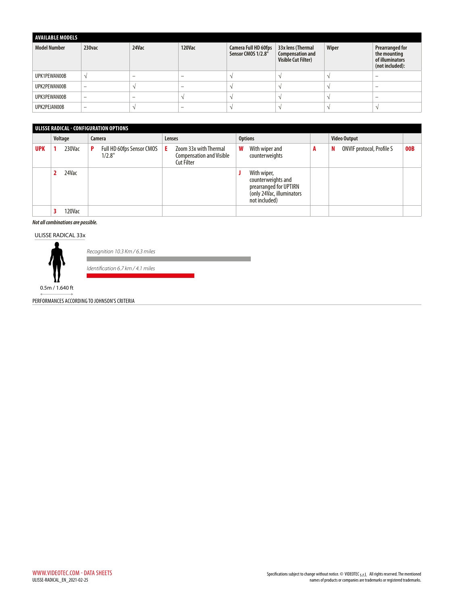| <b>AVAILABLE MODELS</b> |                          |       |                          |                                            |                                                                            |       |                                                                              |  |  |  |
|-------------------------|--------------------------|-------|--------------------------|--------------------------------------------|----------------------------------------------------------------------------|-------|------------------------------------------------------------------------------|--|--|--|
| <b>Model Number</b>     | 230vac                   | 24Vac | <b>120Vac</b>            | Camera Full HD 60fps<br>Sensor CMOS 1/2.8" | 33x lens (Thermal<br><b>Compensation and</b><br><b>Visible Cut Filter)</b> | Wiper | <b>Prearranged for</b><br>the mounting<br>of illuminators<br>(not included): |  |  |  |
| UPK1PEWAN00B            |                          | -     |                          |                                            |                                                                            |       |                                                                              |  |  |  |
| UPK2PEWAN00B            | $\overline{\phantom{0}}$ |       | $\overline{\phantom{0}}$ |                                            |                                                                            |       |                                                                              |  |  |  |
| UPK3PEWAN00B            | -                        | -     |                          |                                            |                                                                            |       |                                                                              |  |  |  |
| UPK2PEJAN00B            | -                        |       | $\overline{\phantom{0}}$ |                                            |                                                                            |       |                                                                              |  |  |  |

| ULISSE RADICAL - CONFIGURATION OPTIONS |         |        |        |                                     |        |                                                                               |                |                                                                                                           |   |                                       |     |  |  |
|----------------------------------------|---------|--------|--------|-------------------------------------|--------|-------------------------------------------------------------------------------|----------------|-----------------------------------------------------------------------------------------------------------|---|---------------------------------------|-----|--|--|
|                                        | Voltage |        | Camera |                                     | Lenses |                                                                               | <b>Options</b> |                                                                                                           |   | <b>Video Output</b>                   |     |  |  |
| <b>UPK</b>                             |         | 230Vac | P      | Full HD 60fps Sensor CMOS<br>1/2.8" | E.     | Zoom 33x with Thermal<br><b>Compensation and Visible</b><br><b>Cut Filter</b> | W              | With wiper and<br>counterweights                                                                          | A | <b>ONVIF protocol, Profile S</b><br>N | 00B |  |  |
|                                        |         | 24Vac  |        |                                     |        |                                                                               |                | With wiper,<br>counterweights and<br>prearranged for UPTIRN<br>(only 24Vac, illuminators<br>not included) |   |                                       |     |  |  |
|                                        |         | 120Vac |        |                                     |        |                                                                               |                |                                                                                                           |   |                                       |     |  |  |

#### *Not all combinations are possible.*

#### ULISSE RADICAL 33x



*Recognition 10.3 Km / 6.3 miles*

*Identification 6.7 km / 4.1 miles*

0.5m / 1.640 ft

PERFORMANCES ACCORDING TO JOHNSON'S CRITERIA

п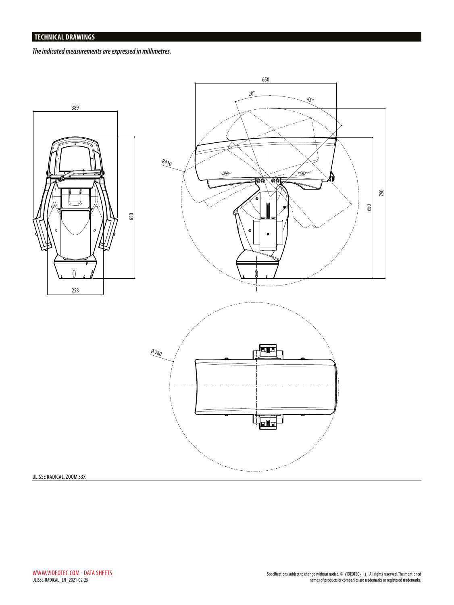*The indicated measurements are expressed in millimetres.*



#### ULISSE RADICAL, ZOOM 33X